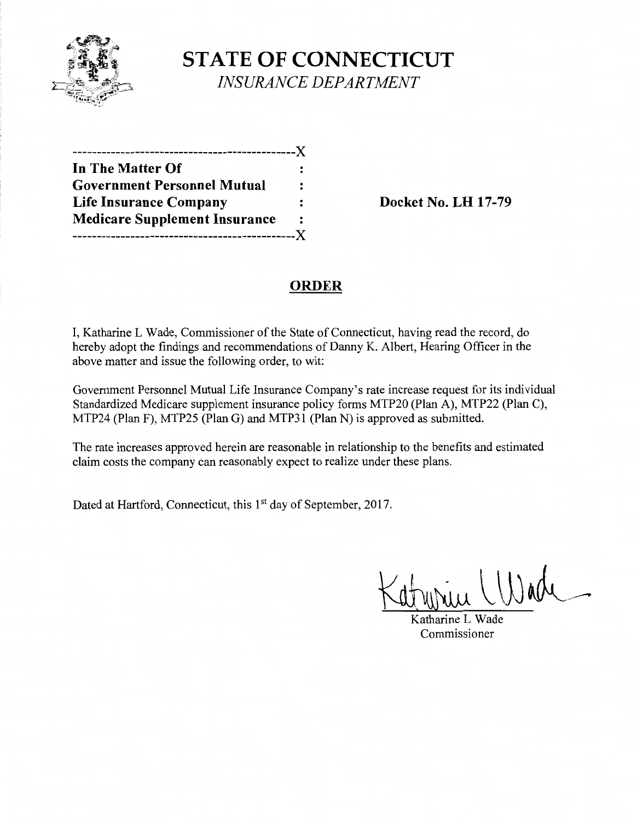

# **STATE OF CONNECTICUT** *INSURANCE DEPARTMENT*

| ----------------X                    |                |
|--------------------------------------|----------------|
| In The Matter Of                     |                |
| <b>Government Personnel Mutual</b>   | $\ddot{\cdot}$ |
| <b>Life Insurance Company</b>        |                |
| <b>Medicare Supplement Insurance</b> | ∶              |
|                                      | . X            |

**Life Insurance Company Docket** No. **LH 17-79** 

### **ORDER**

I, Katharine L Wade, Commissioner of the State of Connecticut, having read the record, do hereby adopt the findings and recommendations of Danny K. Albert, Hearing Officer in the above matter and issue the following order, to wit:

Government Personnel Mutual Life Insurance Company's rate increase request for its individual Standardized Medicare supplement insurance policy forms MTP20 (Plan A), MTP22 (Plan C), MTP24 (Plan F), MTP25 (Plan G) and MTP31 (Plan N) is approved as submitted.

The rate increases approved herein are reasonable in relationship to the benefits and estimated claim costs the company can reasonably expect to realize under these plans.

Dated at Hartford, Connecticut, this 1<sup>st</sup> day of September, 2017.

 $U^{ad}$ 

Katharine L Wade Commissioner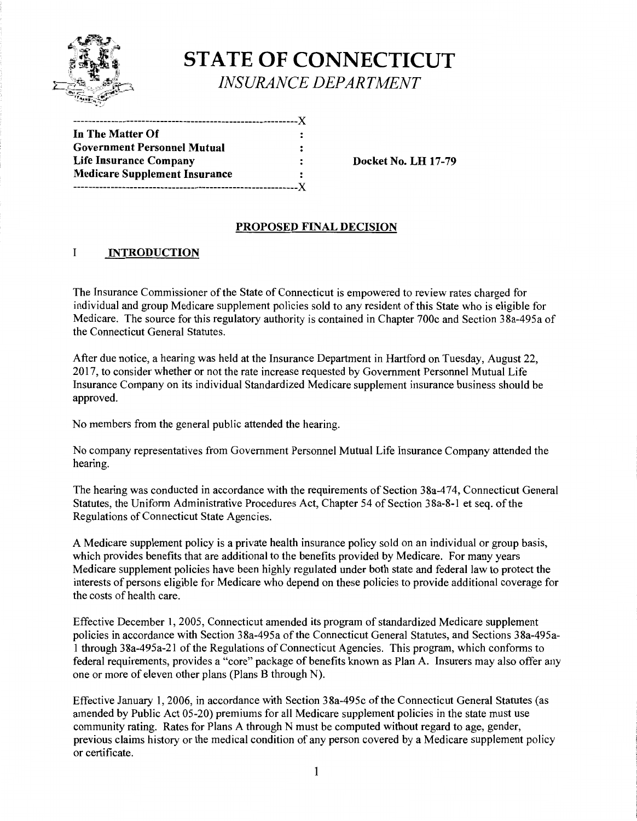

# **STATE OF CONNECTICUT** *INSURANCE DEPARTMENT*

| In The Matter Of                     |   |
|--------------------------------------|---|
| <b>Government Personnel Mutual</b>   |   |
| <b>Life Insurance Company</b>        | ፡ |
| <b>Medicare Supplement Insurance</b> |   |
|                                      |   |

**Docket No. LH 17-79** 

#### **PROPOSED FINAL DECISION**

#### I **INTRODUCTION**

The Insurance Commissioner ofthe State of Connecticut is empowered to review rates charged for individual and group Medicare supplement policies sold to any resident of this State who is eligible for Medicare. The source for this regulatory authority is contained in Chapter 700c and Section 38a-495a of the Connecticut General Statutes.

After due notice, a hearing was held at the Insurance Department in Hartford on Tuesday, August 22, 2017, to consider whether or not the rate increase requested by Government Personnel Mutual Life Insurance Company on its individual Standardized Medicare supplement insurance business should be approved.

No members from the general public attended the hearing.

No company representatives from Government Personnel Mutual Life Insurance Company attended the hearing.

The hearing was conducted in accordance with the requirements of Section 38a-474, Connecticut General Statutes, the Uniform Administrative Procedures Act, Chapter 54 of Section 38a-8-1 et seq. of the Regulations of Connecticut State Agencies.

A Medicare supplement policy is a private health insurance policy sold on an individual or group basis, which provides benefits that are additional to the benefits provided by Medicare. For many years Medicare supplement policies have been highly regulated under both state and federal law to protect the interests of persons eligible for Medicare who depend on these policies to provide additional coverage for the costs of health care.

Effective December 1, 2005, Connecticut amended its program of standardized Medicare supplement policies in accordance with Section 38a-495a of the Connecticut General Statutes, and Sections 38a-495a-1 through 38a-495a-21 ofthe Regulations of Connecticut Agencies. This program, which conforms to federal requirements, provides a "core" package of benefits known as Plan A. Insurers may also offer any one or more of eleven other plans (Plans B through N).

Effective January 1, 2006, in accordance with Section 38a-495c of the Connecticut General Statutes (as amended by Public Act 05-20) premiums for all Medicare supplement policies in the state must use community rating. Rates for Plans A through N must be computed without regard to age, gender, previous claims history or the medical condition of any person covered by a Medicare supplement policy or certificate.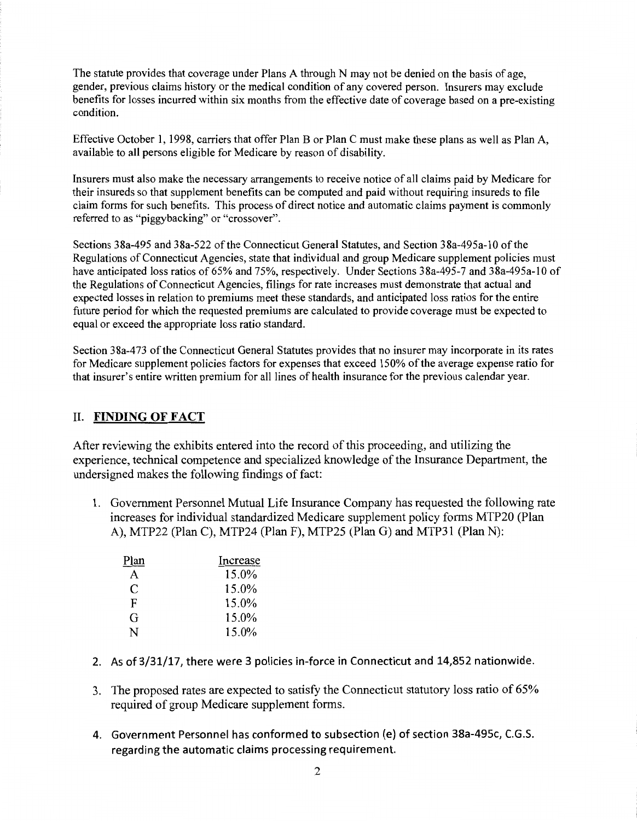The statute provides that coverage under Plans A through N may not be denied on the basis of age, gender, previous claims history or the medical condition of any covered person. Insurers may exclude benefits for losses incurred within six months from the effective date of coverage based on a pre-existing condition.

Effective October I, 1998, carriers that offer Plan B or Plan C must make these plans as well as Plan A, available to all persons eligible for Medicare by reason of disability.

Insurers must also make the necessary arrangements to receive notice of all claims paid by Medicare for their insureds so that supplement benefits can be computed and paid without requiring insureds to file claim forms for such benefits. This process of direct notice and automatic claims payment is commonly referred to as "piggybacking" or "crossover".

Sections 38a-495 and 38a-522 ofthe Connecticut General Statutes, and Section 38a-495a-10 ofthe Regulations of Connecticut Agencies, state that individual and group Medicare supplement policies must have anticipated loss ratios of 65% and 75%, respectively. Under Sections 38a-495-7 and 38a-495a-10 of the Regulations of Connecticut Agencies, filings for rate increases must demonstrate that actual and expected losses in relation to premiums meet these standards, and anticipated loss ratios for the entire future period for which the requested premiums are calculated to provide coverage must be expected to equal or exceed the appropriate loss ratio standard.

Section 38a-473 of the Connecticut General Statutes provides that no insurer may incorporate in its rates for Medicare supplement policies factors for expenses that exceed 150% of the average expense ratio for that insurer's entire written premium for all lines of health insurance for the previous calendar year.

### II. FINDING OF FACT

After reviewing the exhibits entered into the record of this proceeding, and utilizing the experience, technical competence and specialized knowledge of the Insurance Department, the undersigned makes the following findings of fact:

1. Government Personnel Mutual Life Insurance Company has requested the following rate increases for individual standardized Medicare supplement policy forms MTP20 (Plan A), MTP22 (Plan C), MTP24 (Plan F), MTP25 (Plan G) and MTP31 (Plan N):

| Plan | Increase |
|------|----------|
| A    | 15.0%    |
| C    | 15.0%    |
| F    | 15.0%    |
| G    | 15.0%    |
| N    | 15.0%    |

- 2. As of 3/31/17, there were 3 policies in-force in Connecticut and 14,852 nationwide.
- 3. The proposed rates are expected to satisfy the Connecticut statutory loss ratio of 65% required of group Medicare supplement forms.
- 4. Government Personnel has conformed to subsection (e) of section 38a-495c, C.G.S. regarding the automatic claims processing requirement.